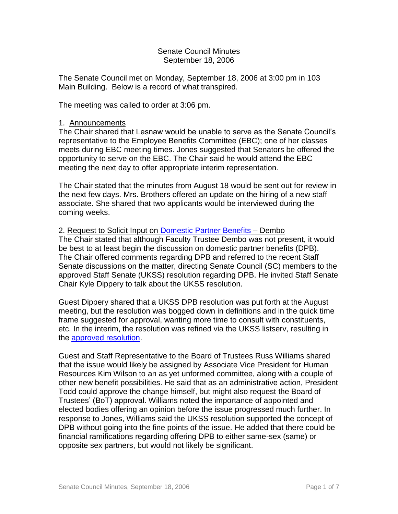### Senate Council Minutes September 18, 2006

The Senate Council met on Monday, September 18, 2006 at 3:00 pm in 103 Main Building. Below is a record of what transpired.

The meeting was called to order at 3:06 pm.

### 1. Announcements

The Chair shared that Lesnaw would be unable to serve as the Senate Council's representative to the Employee Benefits Committee (EBC); one of her classes meets during EBC meeting times. Jones suggested that Senators be offered the opportunity to serve on the EBC. The Chair said he would attend the EBC meeting the next day to offer appropriate interim representation.

The Chair stated that the minutes from August 18 would be sent out for review in the next few days. Mrs. Brothers offered an update on the hiring of a new staff associate. She shared that two applicants would be interviewed during the coming weeks.

# 2. Request to Solicit Input on [Domestic Partner Benefits](http://www.uky.edu/USC/New/files/20060821/DPB%20Report%203-2005_TO%20SC.pdf) – Dembo

The Chair stated that although Faculty Trustee Dembo was not present, it would be best to at least begin the discussion on domestic partner benefits (DPB). The Chair offered comments regarding DPB and referred to the recent Staff Senate discussions on the matter, directing Senate Council (SC) members to the approved Staff Senate (UKSS) resolution regarding DPB. He invited Staff Senate Chair Kyle Dippery to talk about the UKSS resolution.

Guest Dippery shared that a UKSS DPB resolution was put forth at the August meeting, but the resolution was bogged down in definitions and in the quick time frame suggested for approval, wanting more time to consult with constituents, etc. In the interim, the resolution was refined via the UKSS listserv, resulting in the [approved resolution.](http://www.uky.edu/USC/New/files/20060918/Domestic%20Partner%20Benefit%208-28-06%20STAFF%20SENATE%20FINAL.pdf)

Guest and Staff Representative to the Board of Trustees Russ Williams shared that the issue would likely be assigned by Associate Vice President for Human Resources Kim Wilson to an as yet unformed committee, along with a couple of other new benefit possibilities. He said that as an administrative action, President Todd could approve the change himself, but might also request the Board of Trustees' (BoT) approval. Williams noted the importance of appointed and elected bodies offering an opinion before the issue progressed much further. In response to Jones, Williams said the UKSS resolution supported the concept of DPB without going into the fine points of the issue. He added that there could be financial ramifications regarding offering DPB to either same-sex (same) or opposite sex partners, but would not likely be significant.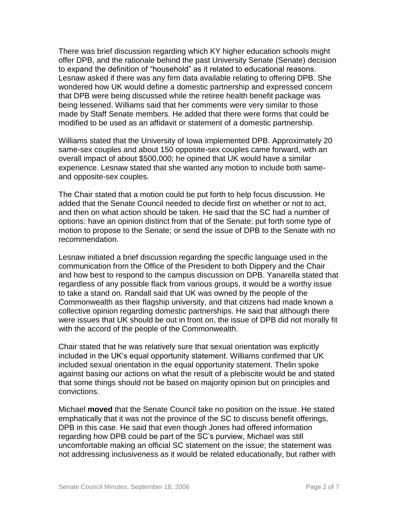There was brief discussion regarding which KY higher education schools might offer DPB, and the rationale behind the past University Senate (Senate) decision to expand the definition of "household" as it related to educational reasons. Lesnaw asked if there was any firm data available relating to offering DPB. She wondered how UK would define a domestic partnership and expressed concern that DPB were being discussed while the retiree health benefit package was being lessened. Williams said that her comments were very similar to those made by Staff Senate members. He added that there were forms that could be modified to be used as an affidavit or statement of a domestic partnership.

Williams stated that the University of Iowa implemented DPB. Approximately 20 same-sex couples and about 150 opposite-sex couples came forward, with an overall impact of about \$500,000; he opined that UK would have a similar experience. Lesnaw stated that she wanted any motion to include both sameand opposite-sex couples.

The Chair stated that a motion could be put forth to help focus discussion. He added that the Senate Council needed to decide first on whether or not to act, and then on what action should be taken. He said that the SC had a number of options: have an opinion distinct from that of the Senate; put forth some type of motion to propose to the Senate; or send the issue of DPB to the Senate with no recommendation.

Lesnaw initiated a brief discussion regarding the specific language used in the communication from the Office of the President to both Dippery and the Chair and how best to respond to the campus discussion on DPB. Yanarella stated that regardless of any possible flack from various groups, it would be a worthy issue to take a stand on. Randall said that UK was owned by the people of the Commonwealth as their flagship university, and that citizens had made known a collective opinion regarding domestic partnerships. He said that although there were issues that UK should be out in front on, the issue of DPB did not morally fit with the accord of the people of the Commonwealth.

Chair stated that he was relatively sure that sexual orientation was explicitly included in the UK's equal opportunity statement. Williams confirmed that UK included sexual orientation in the equal opportunity statement. Thelin spoke against basing our actions on what the result of a plebiscite would be and stated that some things should not be based on majority opinion but on principles and convictions.

Michael **moved** that the Senate Council take no position on the issue. He stated emphatically that it was not the province of the SC to discuss benefit offerings, DPB in this case. He said that even though Jones had offered information regarding how DPB could be part of the SC's purview, Michael was still uncomfortable making an official SC statement on the issue; the statement was not addressing inclusiveness as it would be related educationally, but rather with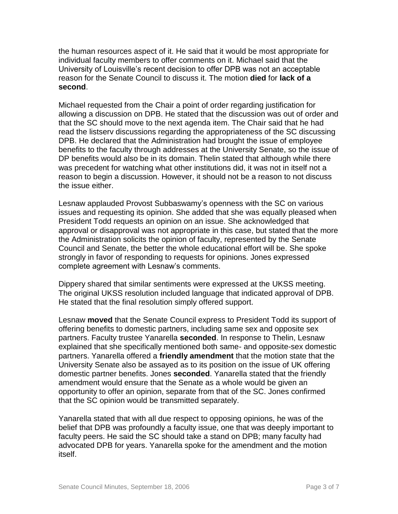the human resources aspect of it. He said that it would be most appropriate for individual faculty members to offer comments on it. Michael said that the University of Louisville's recent decision to offer DPB was not an acceptable reason for the Senate Council to discuss it. The motion **died** for **lack of a second**.

Michael requested from the Chair a point of order regarding justification for allowing a discussion on DPB. He stated that the discussion was out of order and that the SC should move to the next agenda item. The Chair said that he had read the listserv discussions regarding the appropriateness of the SC discussing DPB. He declared that the Administration had brought the issue of employee benefits to the faculty through addresses at the University Senate, so the issue of DP benefits would also be in its domain. Thelin stated that although while there was precedent for watching what other institutions did, it was not in itself not a reason to begin a discussion. However, it should not be a reason to not discuss the issue either.

Lesnaw applauded Provost Subbaswamy's openness with the SC on various issues and requesting its opinion. She added that she was equally pleased when President Todd requests an opinion on an issue. She acknowledged that approval or disapproval was not appropriate in this case, but stated that the more the Administration solicits the opinion of faculty, represented by the Senate Council and Senate, the better the whole educational effort will be. She spoke strongly in favor of responding to requests for opinions. Jones expressed complete agreement with Lesnaw's comments.

Dippery shared that similar sentiments were expressed at the UKSS meeting. The original UKSS resolution included language that indicated approval of DPB. He stated that the final resolution simply offered support.

Lesnaw **moved** that the Senate Council express to President Todd its support of offering benefits to domestic partners, including same sex and opposite sex partners. Faculty trustee Yanarella **seconded**. In response to Thelin, Lesnaw explained that she specifically mentioned both same- and opposite-sex domestic partners. Yanarella offered a **friendly amendment** that the motion state that the University Senate also be assayed as to its position on the issue of UK offering domestic partner benefits. Jones **seconded**. Yanarella stated that the friendly amendment would ensure that the Senate as a whole would be given an opportunity to offer an opinion, separate from that of the SC. Jones confirmed that the SC opinion would be transmitted separately.

Yanarella stated that with all due respect to opposing opinions, he was of the belief that DPB was profoundly a faculty issue, one that was deeply important to faculty peers. He said the SC should take a stand on DPB; many faculty had advocated DPB for years. Yanarella spoke for the amendment and the motion itself.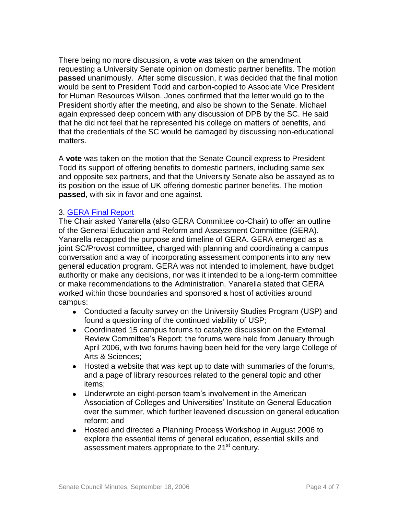There being no more discussion, a **vote** was taken on the amendment requesting a University Senate opinion on domestic partner benefits. The motion **passed** unanimously. After some discussion, it was decided that the final motion would be sent to President Todd and carbon-copied to Associate Vice President for Human Resources Wilson. Jones confirmed that the letter would go to the President shortly after the meeting, and also be shown to the Senate. Michael again expressed deep concern with any discussion of DPB by the SC. He said that he did not feel that he represented his college on matters of benefits, and that the credentials of the SC would be damaged by discussing non-educational matters.

A **vote** was taken on the motion that the Senate Council express to President Todd its support of offering benefits to domestic partners, including same sex and opposite sex partners, and that the University Senate also be assayed as to its position on the issue of UK offering domestic partner benefits. The motion **passed**, with six in favor and one against.

## 3. [GERA Final Report](http://www.uky.edu/USC/New/files/20060918/GERA%20Final%20Report.pdf)

The Chair asked Yanarella (also GERA Committee co-Chair) to offer an outline of the General Education and Reform and Assessment Committee (GERA). Yanarella recapped the purpose and timeline of GERA. GERA emerged as a joint SC/Provost committee, charged with planning and coordinating a campus conversation and a way of incorporating assessment components into any new general education program. GERA was not intended to implement, have budget authority or make any decisions, nor was it intended to be a long-term committee or make recommendations to the Administration. Yanarella stated that GERA worked within those boundaries and sponsored a host of activities around campus:

- Conducted a faculty survey on the University Studies Program (USP) and found a questioning of the continued viability of USP;
- Coordinated 15 campus forums to catalyze discussion on the External Review Committee's Report; the forums were held from January through April 2006, with two forums having been held for the very large College of Arts & Sciences;
- Hosted a website that was kept up to date with summaries of the forums, and a page of library resources related to the general topic and other items;
- $\bullet$ Underwrote an eight-person team's involvement in the American Association of Colleges and Universities' Institute on General Education over the summer, which further leavened discussion on general education reform; and
- $\bullet$ Hosted and directed a Planning Process Workshop in August 2006 to explore the essential items of general education, essential skills and assessment maters appropriate to the 21<sup>st</sup> century.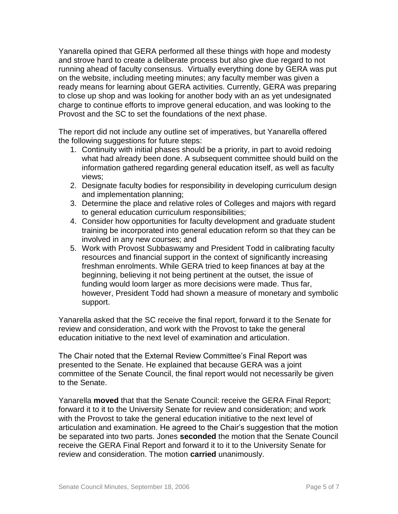Yanarella opined that GERA performed all these things with hope and modesty and strove hard to create a deliberate process but also give due regard to not running ahead of faculty consensus. Virtually everything done by GERA was put on the website, including meeting minutes; any faculty member was given a ready means for learning about GERA activities. Currently, GERA was preparing to close up shop and was looking for another body with an as yet undesignated charge to continue efforts to improve general education, and was looking to the Provost and the SC to set the foundations of the next phase.

The report did not include any outline set of imperatives, but Yanarella offered the following suggestions for future steps:

- 1. Continuity with initial phases should be a priority, in part to avoid redoing what had already been done. A subsequent committee should build on the information gathered regarding general education itself, as well as faculty views;
- 2. Designate faculty bodies for responsibility in developing curriculum design and implementation planning;
- 3. Determine the place and relative roles of Colleges and majors with regard to general education curriculum responsibilities;
- 4. Consider how opportunities for faculty development and graduate student training be incorporated into general education reform so that they can be involved in any new courses; and
- 5. Work with Provost Subbaswamy and President Todd in calibrating faculty resources and financial support in the context of significantly increasing freshman enrolments. While GERA tried to keep finances at bay at the beginning, believing it not being pertinent at the outset, the issue of funding would loom larger as more decisions were made. Thus far, however, President Todd had shown a measure of monetary and symbolic support.

Yanarella asked that the SC receive the final report, forward it to the Senate for review and consideration, and work with the Provost to take the general education initiative to the next level of examination and articulation.

The Chair noted that the External Review Committee's Final Report was presented to the Senate. He explained that because GERA was a joint committee of the Senate Council, the final report would not necessarily be given to the Senate.

Yanarella **moved** that that the Senate Council: receive the GERA Final Report; forward it to it to the University Senate for review and consideration; and work with the Provost to take the general education initiative to the next level of articulation and examination. He agreed to the Chair's suggestion that the motion be separated into two parts. Jones **seconded** the motion that the Senate Council receive the GERA Final Report and forward it to it to the University Senate for review and consideration. The motion **carried** unanimously.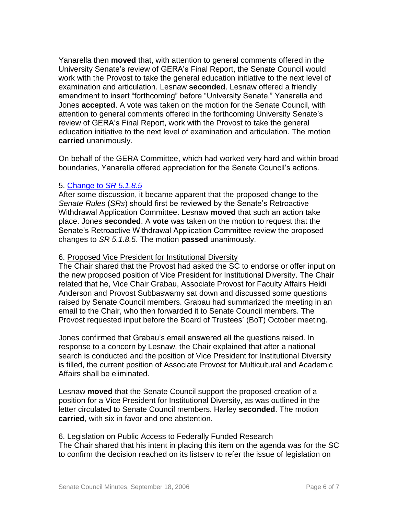Yanarella then **moved** that, with attention to general comments offered in the University Senate's review of GERA's Final Report, the Senate Council would work with the Provost to take the general education initiative to the next level of examination and articulation. Lesnaw **seconded**. Lesnaw offered a friendly amendment to insert "forthcoming" before "University Senate." Yanarella and Jones **accepted**. A vote was taken on the motion for the Senate Council, with attention to general comments offered in the forthcoming University Senate's review of GERA's Final Report, work with the Provost to take the general education initiative to the next level of examination and articulation. The motion **carried** unanimously.

On behalf of the GERA Committee, which had worked very hard and within broad boundaries, Yanarella offered appreciation for the Senate Council's actions.

## 5. [Change to](http://www.uky.edu/USC/New/files/20060918/SR_5_1_8_5.pdf) *SR 5.1.8.5*

After some discussion, it became apparent that the proposed change to the *Senate Rules* (*SRs*) should first be reviewed by the Senate's Retroactive Withdrawal Application Committee. Lesnaw **moved** that such an action take place. Jones **seconded**. A **vote** was taken on the motion to request that the Senate's Retroactive Withdrawal Application Committee review the proposed changes to *SR 5.1.8.5*. The motion **passed** unanimously.

### 6. Proposed Vice President for Institutional Diversity

The Chair shared that the Provost had asked the SC to endorse or offer input on the new proposed position of Vice President for Institutional Diversity. The Chair related that he, Vice Chair Grabau, Associate Provost for Faculty Affairs Heidi Anderson and Provost Subbaswamy sat down and discussed some questions raised by Senate Council members. Grabau had summarized the meeting in an email to the Chair, who then forwarded it to Senate Council members. The Provost requested input before the Board of Trustees' (BoT) October meeting.

Jones confirmed that Grabau's email answered all the questions raised. In response to a concern by Lesnaw, the Chair explained that after a national search is conducted and the position of Vice President for Institutional Diversity is filled, the current position of Associate Provost for Multicultural and Academic Affairs shall be eliminated.

Lesnaw **moved** that the Senate Council support the proposed creation of a position for a Vice President for Institutional Diversity, as was outlined in the letter circulated to Senate Council members. Harley **seconded**. The motion **carried**, with six in favor and one abstention.

#### 6. Legislation on Public Access to Federally Funded Research

The Chair shared that his intent in placing this item on the agenda was for the SC to confirm the decision reached on its listserv to refer the issue of legislation on